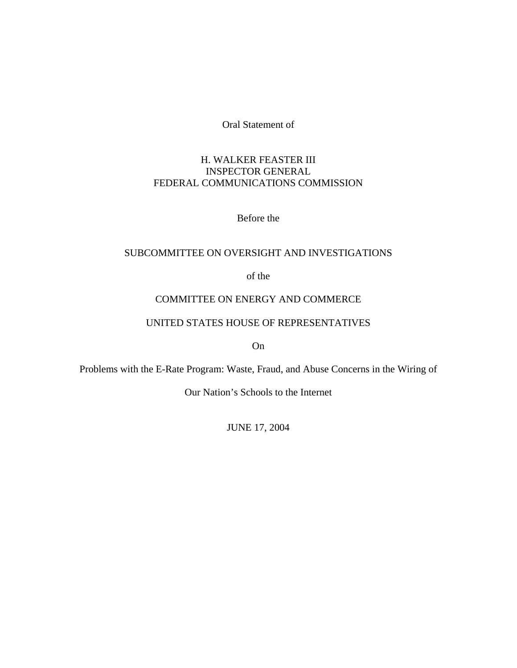Oral Statement of

# H. WALKER FEASTER III INSPECTOR GENERAL FEDERAL COMMUNICATIONS COMMISSION

Before the

## SUBCOMMITTEE ON OVERSIGHT AND INVESTIGATIONS

of the

## COMMITTEE ON ENERGY AND COMMERCE

## UNITED STATES HOUSE OF REPRESENTATIVES

On

Problems with the E-Rate Program: Waste, Fraud, and Abuse Concerns in the Wiring of

Our Nation's Schools to the Internet

JUNE 17, 2004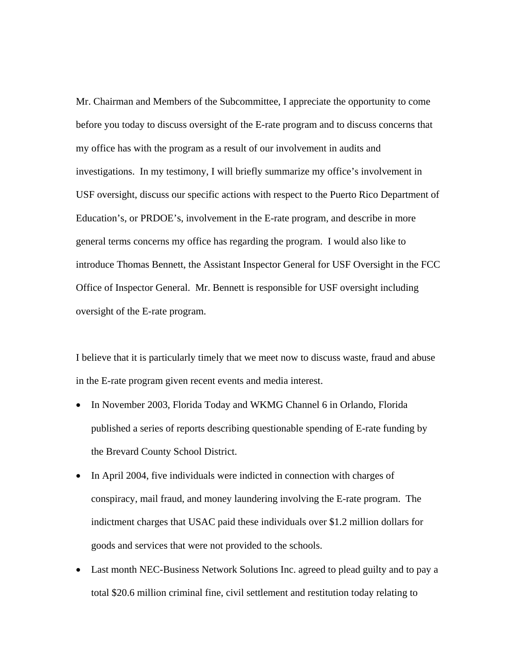Mr. Chairman and Members of the Subcommittee, I appreciate the opportunity to come before you today to discuss oversight of the E-rate program and to discuss concerns that my office has with the program as a result of our involvement in audits and investigations. In my testimony, I will briefly summarize my office's involvement in USF oversight, discuss our specific actions with respect to the Puerto Rico Department of Education's, or PRDOE's, involvement in the E-rate program, and describe in more general terms concerns my office has regarding the program. I would also like to introduce Thomas Bennett, the Assistant Inspector General for USF Oversight in the FCC Office of Inspector General. Mr. Bennett is responsible for USF oversight including oversight of the E-rate program.

I believe that it is particularly timely that we meet now to discuss waste, fraud and abuse in the E-rate program given recent events and media interest.

- In November 2003, Florida Today and WKMG Channel 6 in Orlando, Florida published a series of reports describing questionable spending of E-rate funding by the Brevard County School District.
- In April 2004, five individuals were indicted in connection with charges of conspiracy, mail fraud, and money laundering involving the E-rate program. The indictment charges that USAC paid these individuals over \$1.2 million dollars for goods and services that were not provided to the schools.
- Last month NEC-Business Network Solutions Inc. agreed to plead guilty and to pay a total \$20.6 million criminal fine, civil settlement and restitution today relating to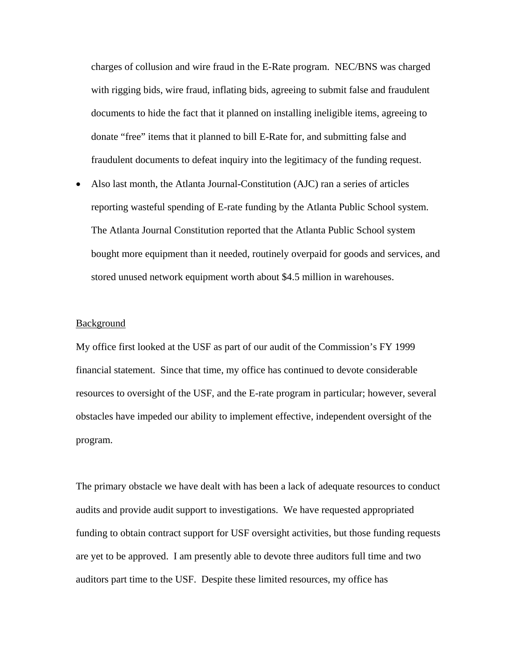charges of collusion and wire fraud in the E-Rate program. NEC/BNS was charged with rigging bids, wire fraud, inflating bids, agreeing to submit false and fraudulent documents to hide the fact that it planned on installing ineligible items, agreeing to donate "free" items that it planned to bill E-Rate for, and submitting false and fraudulent documents to defeat inquiry into the legitimacy of the funding request.

• Also last month, the Atlanta Journal-Constitution (AJC) ran a series of articles reporting wasteful spending of E-rate funding by the Atlanta Public School system. The Atlanta Journal Constitution reported that the Atlanta Public School system bought more equipment than it needed, routinely overpaid for goods and services, and stored unused network equipment worth about \$4.5 million in warehouses.

### **Background**

My office first looked at the USF as part of our audit of the Commission's FY 1999 financial statement. Since that time, my office has continued to devote considerable resources to oversight of the USF, and the E-rate program in particular; however, several obstacles have impeded our ability to implement effective, independent oversight of the program.

The primary obstacle we have dealt with has been a lack of adequate resources to conduct audits and provide audit support to investigations. We have requested appropriated funding to obtain contract support for USF oversight activities, but those funding requests are yet to be approved. I am presently able to devote three auditors full time and two auditors part time to the USF. Despite these limited resources, my office has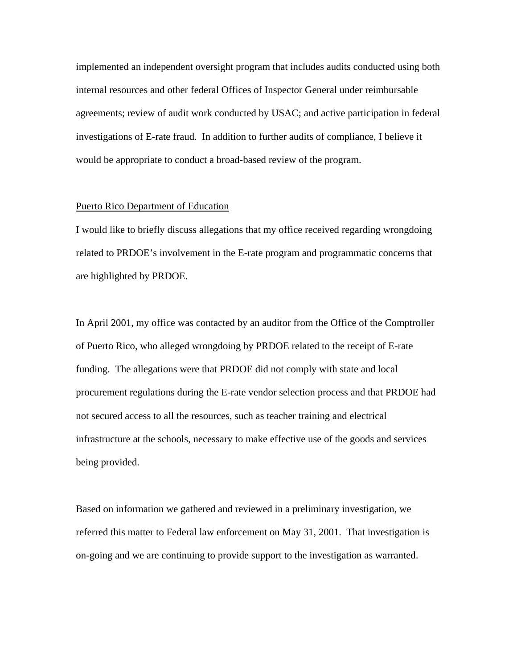implemented an independent oversight program that includes audits conducted using both internal resources and other federal Offices of Inspector General under reimbursable agreements; review of audit work conducted by USAC; and active participation in federal investigations of E-rate fraud. In addition to further audits of compliance, I believe it would be appropriate to conduct a broad-based review of the program.

### Puerto Rico Department of Education

I would like to briefly discuss allegations that my office received regarding wrongdoing related to PRDOE's involvement in the E-rate program and programmatic concerns that are highlighted by PRDOE.

In April 2001, my office was contacted by an auditor from the Office of the Comptroller of Puerto Rico, who alleged wrongdoing by PRDOE related to the receipt of E-rate funding. The allegations were that PRDOE did not comply with state and local procurement regulations during the E-rate vendor selection process and that PRDOE had not secured access to all the resources, such as teacher training and electrical infrastructure at the schools, necessary to make effective use of the goods and services being provided.

Based on information we gathered and reviewed in a preliminary investigation, we referred this matter to Federal law enforcement on May 31, 2001. That investigation is on-going and we are continuing to provide support to the investigation as warranted.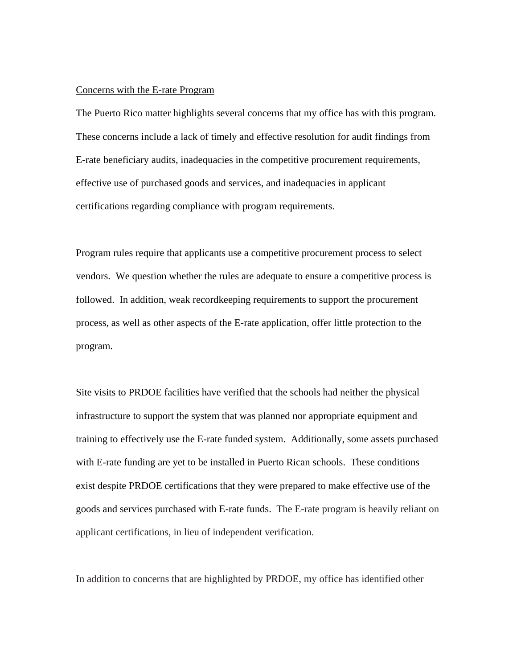#### Concerns with the E-rate Program

The Puerto Rico matter highlights several concerns that my office has with this program. These concerns include a lack of timely and effective resolution for audit findings from E-rate beneficiary audits, inadequacies in the competitive procurement requirements, effective use of purchased goods and services, and inadequacies in applicant certifications regarding compliance with program requirements.

Program rules require that applicants use a competitive procurement process to select vendors. We question whether the rules are adequate to ensure a competitive process is followed. In addition, weak recordkeeping requirements to support the procurement process, as well as other aspects of the E-rate application, offer little protection to the program.

Site visits to PRDOE facilities have verified that the schools had neither the physical infrastructure to support the system that was planned nor appropriate equipment and training to effectively use the E-rate funded system. Additionally, some assets purchased with E-rate funding are yet to be installed in Puerto Rican schools. These conditions exist despite PRDOE certifications that they were prepared to make effective use of the goods and services purchased with E-rate funds. The E-rate program is heavily reliant on applicant certifications, in lieu of independent verification.

In addition to concerns that are highlighted by PRDOE, my office has identified other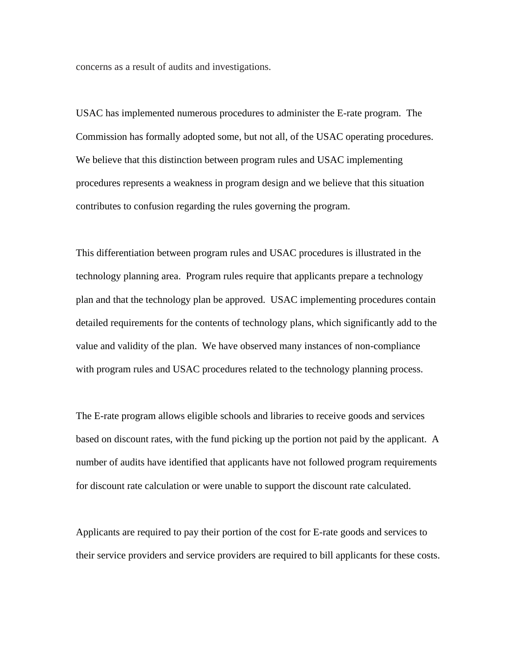concerns as a result of audits and investigations.

USAC has implemented numerous procedures to administer the E-rate program. The Commission has formally adopted some, but not all, of the USAC operating procedures. We believe that this distinction between program rules and USAC implementing procedures represents a weakness in program design and we believe that this situation contributes to confusion regarding the rules governing the program.

This differentiation between program rules and USAC procedures is illustrated in the technology planning area. Program rules require that applicants prepare a technology plan and that the technology plan be approved. USAC implementing procedures contain detailed requirements for the contents of technology plans, which significantly add to the value and validity of the plan. We have observed many instances of non-compliance with program rules and USAC procedures related to the technology planning process.

The E-rate program allows eligible schools and libraries to receive goods and services based on discount rates, with the fund picking up the portion not paid by the applicant. A number of audits have identified that applicants have not followed program requirements for discount rate calculation or were unable to support the discount rate calculated.

Applicants are required to pay their portion of the cost for E-rate goods and services to their service providers and service providers are required to bill applicants for these costs.